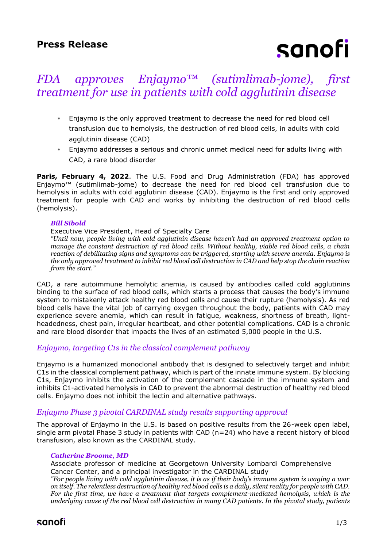# sanofi

## *FDA approves Enjaymo™ (sutimlimab-jome), first treatment for use in patients with cold agglutinin disease*

- Enjaymo is the only approved treatment to decrease the need for red blood cell transfusion due to hemolysis, the destruction of red blood cells, in adults with cold agglutinin disease (CAD)
- Enjaymo addresses a serious and chronic unmet medical need for adults living with CAD, a rare blood disorder

**Paris, February 4, 2022**. The U.S. Food and Drug Administration (FDA) has approved Enjaymo™ (sutimlimab-jome) to decrease the need for red blood cell transfusion due to hemolysis in adults with cold agglutinin disease (CAD). Enjaymo is the first and only approved treatment for people with CAD and works by inhibiting the destruction of red blood cells (hemolysis).

#### *Bill Sibold*

#### Executive Vice President, Head of Specialty Care

*"Until now, people living with cold agglutinin disease haven't had an approved treatment option to manage the constant destruction of red blood cells. Without healthy, viable red blood cells, a chain reaction of debilitating signs and symptoms can be triggered, starting with severe anemia. Enjaymo is the only approved treatment to inhibit red blood cell destruction in CAD and help stop the chain reaction from the start."*

CAD, a rare autoimmune hemolytic anemia, is caused by antibodies called cold agglutinins binding to the surface of red blood cells, which starts a process that causes the body's immune system to mistakenly attack healthy red blood cells and cause their rupture (hemolysis). As red blood cells have the vital job of carrying oxygen throughout the body, patients with CAD may experience severe anemia, which can result in fatigue, weakness, shortness of breath, lightheadedness, chest pain, irregular heartbeat, and other potential complications. CAD is a chronic and rare blood disorder that impacts the lives of an estimated 5,000 people in the U.S.

#### *Enjaymo, targeting C1s in the classical complement pathway*

Enjaymo is a humanized monoclonal antibody that is designed to selectively target and inhibit C1s in the classical complement pathway, which is part of the innate immune system. By blocking C1s, Enjaymo inhibits the activation of the complement cascade in the immune system and inhibits C1-activated hemolysis in CAD to prevent the abnormal destruction of healthy red blood cells. Enjaymo does not inhibit the lectin and alternative pathways.

#### *Enjaymo Phase 3 pivotal CARDINAL study results supporting approval*

The approval of Enjaymo in the U.S. is based on positive results from the 26-week open label, single arm pivotal Phase 3 study in patients with CAD (n=24) who have a recent history of blood transfusion, also known as the CARDINAL study.

#### *Catherine Broome, MD*

Associate professor of medicine at Georgetown University Lombardi Comprehensive Cancer Center, and a principal investigator in the CARDINAL study

*"For people living with cold agglutinin disease, it is as if their body's immune system is waging a war on itself. The relentless destruction of healthy red blood cells is a daily, silent reality for people with CAD. For the first time, we have a treatment that targets complement-mediated hemolysis, which is the underlying cause of the red blood cell destruction in many CAD patients. In the pivotal study, patients*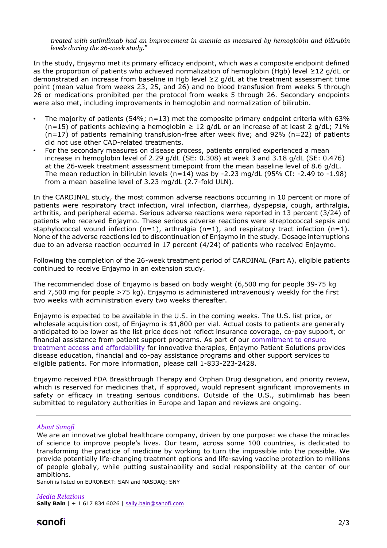*treated with sutimlimab had an improvement in anemia as measured by hemoglobin and bilirubin levels during the 26-week study."*

In the study, Enjaymo met its primary efficacy endpoint, which was a composite endpoint defined as the proportion of patients who achieved normalization of hemoglobin (Hgb) level ≥12 g/dL or demonstrated an increase from baseline in Hgb level  $\geq$  2 g/dL at the treatment assessment time point (mean value from weeks 23, 25, and 26) and no blood transfusion from weeks 5 through 26 or medications prohibited per the protocol from weeks 5 through 26. Secondary endpoints were also met, including improvements in hemoglobin and normalization of bilirubin.

- The majority of patients (54%;  $n=13$ ) met the composite primary endpoint criteria with 63%  $(n=15)$  of patients achieving a hemoglobin  $\geq 12$  g/dL or an increase of at least 2 g/dL; 71%  $(n=17)$  of patients remaining transfusion-free after week five; and 92% (n=22) of patients did not use other CAD-related treatments.
- For the secondary measures on disease process, patients enrolled experienced a mean increase in hemoglobin level of 2.29 g/dL (SE: 0.308) at week 3 and 3.18 g/dL (SE: 0.476) at the 26-week treatment assessment timepoint from the mean baseline level of 8.6 g/dL. The mean reduction in bilirubin levels (n=14) was by -2.23 mg/dL (95% CI: -2.49 to -1.98) from a mean baseline level of 3.23 mg/dL (2.7-fold ULN).

In the CARDINAL study, the most common adverse reactions occurring in 10 percent or more of patients were respiratory tract infection, viral infection, diarrhea, dyspepsia, cough, arthralgia, arthritis, and peripheral edema. Serious adverse reactions were reported in 13 percent (3/24) of patients who received Enjaymo. These serious adverse reactions were streptococcal sepsis and staphylococcal wound infection  $(n=1)$ , arthralgia  $(n=1)$ , and respiratory tract infection  $(n=1)$ . None of the adverse reactions led to discontinuation of Enjaymo in the study. Dosage interruptions due to an adverse reaction occurred in 17 percent (4/24) of patients who received Enjaymo.

Following the completion of the 26-week treatment period of CARDINAL (Part A), eligible patients continued to receive Enjaymo in an extension study.

The recommended dose of Enjaymo is based on body weight (6,500 mg for people 39-75 kg and 7,500 mg for people >75 kg). Enjaymo is administered intravenously weekly for the first two weeks with administration every two weeks thereafter.

Enjaymo is expected to be available in the U.S. in the coming weeks. The U.S. list price, or wholesale acquisition cost, of Enjaymo is \$1,800 per vial. Actual costs to patients are generally anticipated to be lower as the list price does not reflect insurance coverage, co-pay support, or financial assistance from patient support programs. As part of our [commitment to ensure](https://www.sanofi.us/en/corporate-responsibility/pricing-principles/prioritizing-patient-affordability#Read%20More)  [treatment access and affordability](https://www.sanofi.us/en/corporate-responsibility/pricing-principles/prioritizing-patient-affordability#Read%20More) for innovative therapies, Enjaymo Patient Solutions provides disease education, financial and co-pay assistance programs and other support services to eligible patients. For more information, please call 1-833-223-2428.

Enjaymo received FDA Breakthrough Therapy and Orphan Drug designation, and priority review, which is reserved for medicines that, if approved, would represent significant improvements in safety or efficacy in treating serious conditions. Outside of the U.S., sutimlimab has been submitted to regulatory authorities in Europe and Japan and reviews are ongoing.

#### *About Sanofi*

We are an innovative global healthcare company, driven by one purpose: we chase the miracles of science to improve people's lives. Our team, across some 100 countries, is dedicated to transforming the practice of medicine by working to turn the impossible into the possible. We provide potentially life-changing treatment options and life-saving vaccine protection to millions of people globally, while putting sustainability and social responsibility at the center of our ambitions.

Sanofi is listed on EURONEXT: SAN and NASDAQ: SNY

#### *Media Relations* **Sally Bain** | + 1 617 834 6026 | [sally.bain@sanofi.com](mailto:sally.bain@sanofi.com)

### sanofi